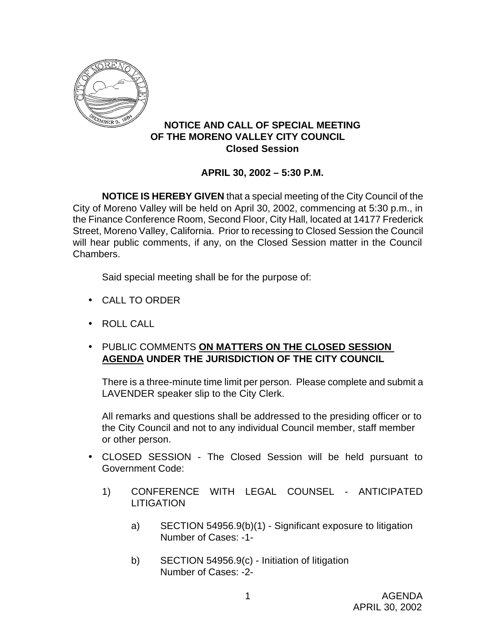

## **NOTICE AND CALL OF SPECIAL MEETING OF THE MORENO VALLEY CITY COUNCIL Closed Session**

## **APRIL 30, 2002 – 5:30 P.M.**

**NOTICE IS HEREBY GIVEN** that a special meeting of the City Council of the City of Moreno Valley will be held on April 30, 2002, commencing at 5:30 p.m., in the Finance Conference Room, Second Floor, City Hall, located at 14177 Frederick Street, Moreno Valley, California. Prior to recessing to Closed Session the Council will hear public comments, if any, on the Closed Session matter in the Council Chambers.

Said special meeting shall be for the purpose of:

- CALL TO ORDER
- ROLL CALL
- PUBLIC COMMENTS **ON MATTERS ON THE CLOSED SESSION AGENDA UNDER THE JURISDICTION OF THE CITY COUNCIL**

There is a three-minute time limit per person. Please complete and submit a LAVENDER speaker slip to the City Clerk.

All remarks and questions shall be addressed to the presiding officer or to the City Council and not to any individual Council member, staff member or other person.

- CLOSED SESSION The Closed Session will be held pursuant to Government Code:
	- 1) CONFERENCE WITH LEGAL COUNSEL ANTICIPATED LITIGATION
		- a) SECTION 54956.9(b)(1) Significant exposure to litigation Number of Cases: -1-
		- b) SECTION 54956.9(c) Initiation of litigation Number of Cases: -2-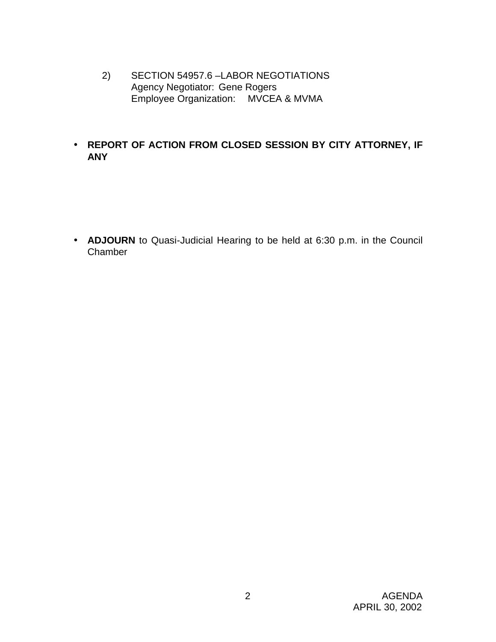- 2) SECTION 54957.6 –LABOR NEGOTIATIONS Agency Negotiator: Gene Rogers Employee Organization: MVCEA & MVMA
- **REPORT OF ACTION FROM CLOSED SESSION BY CITY ATTORNEY, IF ANY**

• **ADJOURN** to Quasi-Judicial Hearing to be held at 6:30 p.m. in the Council Chamber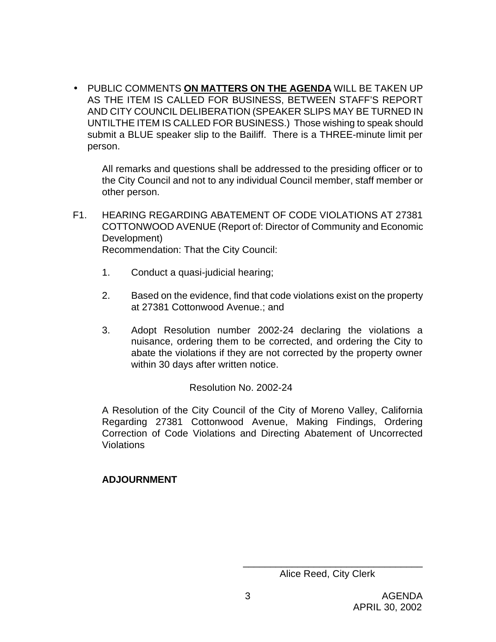• PUBLIC COMMENTS **ON MATTERS ON THE AGENDA** WILL BE TAKEN UP AS THE ITEM IS CALLED FOR BUSINESS, BETWEEN STAFF'S REPORT AND CITY COUNCIL DELIBERATION (SPEAKER SLIPS MAY BE TURNED IN UNTILTHE ITEM IS CALLED FOR BUSINESS.) Those wishing to speak should submit a BLUE speaker slip to the Bailiff. There is a THREE-minute limit per person.

All remarks and questions shall be addressed to the presiding officer or to the City Council and not to any individual Council member, staff member or other person.

- F1. HEARING REGARDING ABATEMENT OF CODE VIOLATIONS AT 27381 COTTONWOOD AVENUE (Report of: Director of Community and Economic Development) Recommendation: That the City Council:
	- 1. Conduct a quasi-judicial hearing;
	- 2. Based on the evidence, find that code violations exist on the property at 27381 Cottonwood Avenue.; and
	- 3. Adopt Resolution number 2002-24 declaring the violations a nuisance, ordering them to be corrected, and ordering the City to abate the violations if they are not corrected by the property owner within 30 days after written notice.

Resolution No. 2002-24

A Resolution of the City Council of the City of Moreno Valley, California Regarding 27381 Cottonwood Avenue, Making Findings, Ordering Correction of Code Violations and Directing Abatement of Uncorrected Violations

## **ADJOURNMENT**